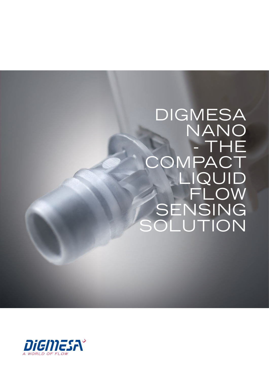## DIGMESA N - THE **COMPACT** LIQUID FLOW S SOLUT

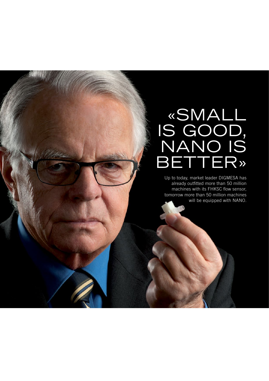## «small is good, nano is **BETTER»**

Up to today, market leader DIGMESA has already outfitted more than 50 million machines with its FHKSC flow sensor, tomorrow more than 50 million machines will be equipped with NANO.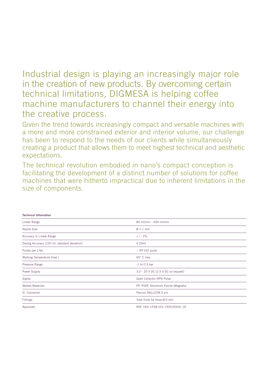Industrial design is playing an increasingly major role in the creation of new products. By overcoming certain technical limitations, DIGMESA is helping coffee machine manufacturers to channel their energy into the creative process.

Given the trend towards increasingly compact and versatile machines with a more and more constrained exterior and interior volume, our challenge has been to respond to the needs of our clients while simultaneously creating a product that allows them to meet highest technical and aesthetic expectations.

The technical revolution embodied in nano's compact conception is facilitating the development of a distinct number of solutions for coffee machines that were hitherto impractical due to inherent limitations in the size of components.

| <b>Technical Information</b>                 |                                       |
|----------------------------------------------|---------------------------------------|
| Linear Range                                 | 80 ml/min - 400 ml/min                |
| Nozzle Size                                  | $Ø$ 1.1 mm                            |
| Accuracy in Linear Range                     | $+1 - 2%$                             |
| Dosing Accuracy (100 ml, standard deviation) | 0.25ml                                |
| Pulses per Liter                             | $~\sim$ 49'162 pulse                  |
| Working Temperature (max.)                   | 65° C max.                            |
| Pressure Range                               | $-1$ to 0.3 bar                       |
| Power Supply                                 | 3.0 - 20 V DC (2.5 V DC on request)   |
| Signal                                       | Open Collector NPN Pulse              |
| <b>Wetted Materials</b>                      | PP, PVDF, Strontium Ferrite (Magnets) |
| El. Connector                                | Pancon HALLCON 3 pin                  |
| <b>Fittings</b>                              | Tube Ends for Hose Ø 6 mm             |
| Approvals                                    | NSF 169, LFGB (EU 1935/2004), CE      |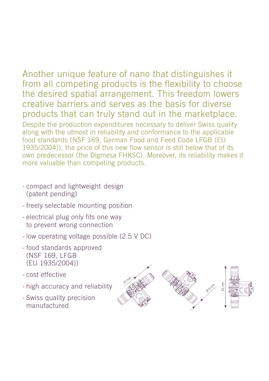Another unique feature of nano that distinguishes it from all competing products is the flexibility to choose the desired spatial arrangement. This freedom lowers creative barriers and serves as the basis for diverse products that can truly stand out in the marketplace. Despite the production expenditures necessary to deliver Swiss quality along with the utmost in reliability and conformance to the applicable food standards (NSF 169, German Food and Feed Code LFGB (EU 1935/2004)), the price of this new flow sensor is still below that of its own predecessor (the Digmesa FHKSC). Moreover, its reliability makes it more valuable than competing products.

- compact and lightweight design (patent pending)
- freely selectable mounting position
- electrical plug only fits one way to prevent wrong connection
- low operating voltage possible (2.5 V DC)
- food standards approved (NSF 169, LFGB (EU 1935/2004))
- cost effective
- high accuracy and reliability
- Swiss quality precision manufactured

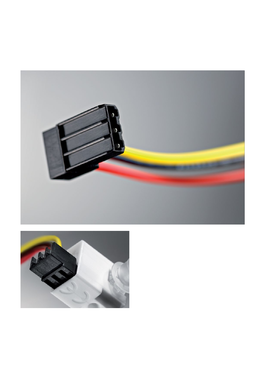